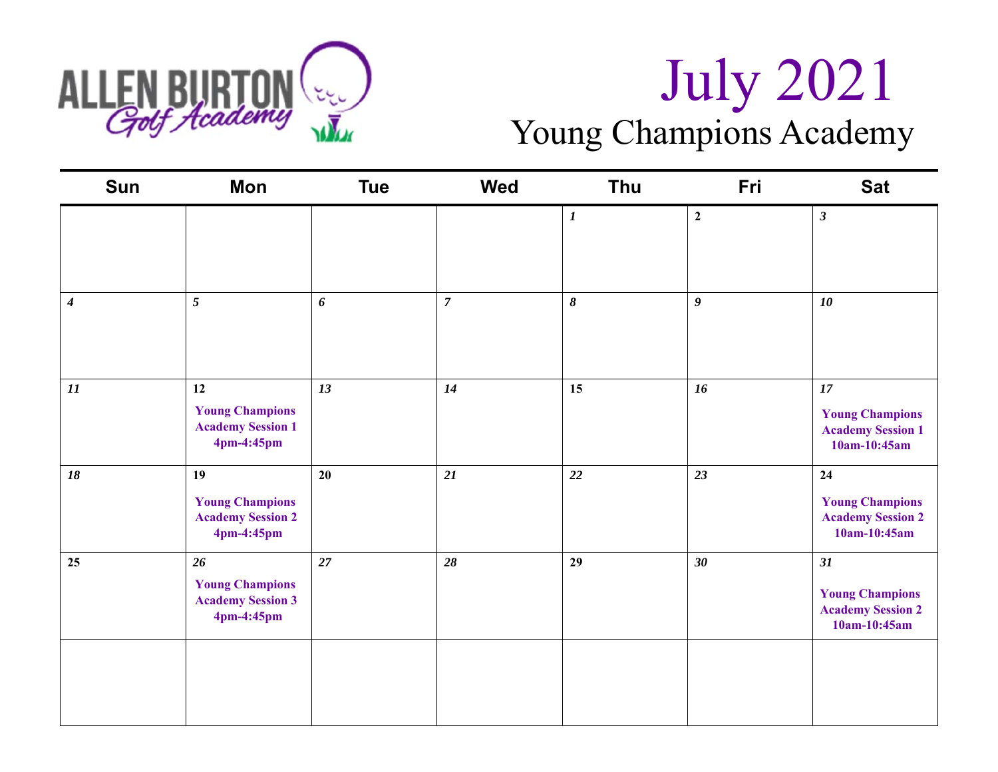

# ALLEN BURTON ( $\frac{1}{20}$  July 2021 Young Champions Academy

| <b>Sun</b>       | Mon                                                                    | <b>Tue</b> | <b>Wed</b>     | Thu              | Fri              | <b>Sat</b>                                                                   |
|------------------|------------------------------------------------------------------------|------------|----------------|------------------|------------------|------------------------------------------------------------------------------|
|                  |                                                                        |            |                | $\boldsymbol{l}$ | $\boldsymbol{2}$ | $\boldsymbol{\beta}$                                                         |
| $\boldsymbol{4}$ | 5                                                                      | 6          | $\overline{7}$ | $\pmb{8}$        | $\boldsymbol{g}$ | 10                                                                           |
| $\cal{I}I$       | 12<br><b>Young Champions</b><br><b>Academy Session 1</b><br>4pm-4:45pm | 13         | 14             | 15               | 16               | $17\,$<br><b>Young Champions</b><br><b>Academy Session 1</b><br>10am-10:45am |
| 18               | 19<br><b>Young Champions</b><br><b>Academy Session 2</b><br>4pm-4:45pm | 20         | 21             | 22               | 23               | 24<br><b>Young Champions</b><br><b>Academy Session 2</b><br>10am-10:45am     |
| 25               | 26<br><b>Young Champions</b><br><b>Academy Session 3</b><br>4pm-4:45pm | 27         | 28             | 29               | 30               | 31<br><b>Young Champions</b><br><b>Academy Session 2</b><br>10am-10:45am     |
|                  |                                                                        |            |                |                  |                  |                                                                              |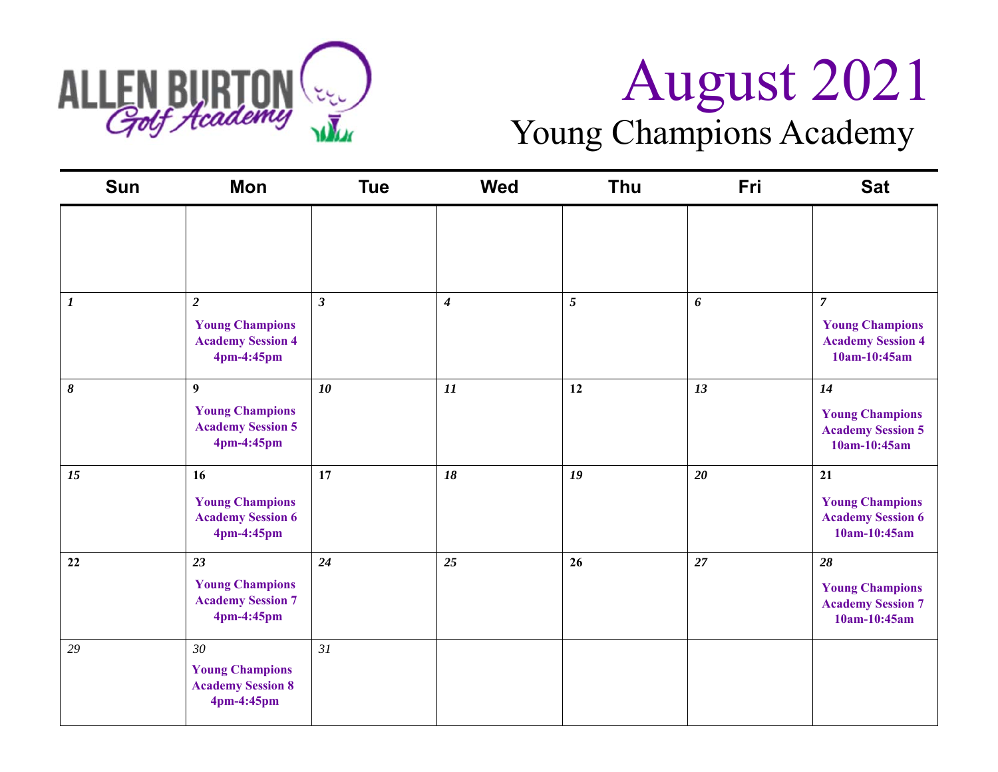

### Young Champions Academy

| <b>Sun</b>       | Mon                                                                                | <b>Tue</b>     | <b>Wed</b>       | <b>Thu</b> | Fri | <b>Sat</b>                                                                           |
|------------------|------------------------------------------------------------------------------------|----------------|------------------|------------|-----|--------------------------------------------------------------------------------------|
|                  |                                                                                    |                |                  |            |     |                                                                                      |
| $\boldsymbol{l}$ | $\overline{2}$<br><b>Young Champions</b><br><b>Academy Session 4</b><br>4pm-4:45pm | $\mathfrak{z}$ | $\boldsymbol{4}$ | 5          | 6   | $\overline{7}$<br><b>Young Champions</b><br><b>Academy Session 4</b><br>10am-10:45am |
| 8                | 9<br><b>Young Champions</b><br><b>Academy Session 5</b><br>4pm-4:45pm              | 10             | 11               | 12         | 13  | 14<br><b>Young Champions</b><br><b>Academy Session 5</b><br>10am-10:45am             |
| 15               | 16<br><b>Young Champions</b><br><b>Academy Session 6</b><br>4pm-4:45pm             | 17             | 18               | 19         | 20  | 21<br><b>Young Champions</b><br><b>Academy Session 6</b><br>10am-10:45am             |
| 22               | 23<br><b>Young Champions</b><br><b>Academy Session 7</b><br>4pm-4:45pm             | 24             | 25               | 26         | 27  | 28<br><b>Young Champions</b><br><b>Academy Session 7</b><br>10am-10:45am             |
| 29               | 30<br><b>Young Champions</b><br><b>Academy Session 8</b><br>4pm-4:45pm             | 31             |                  |            |     |                                                                                      |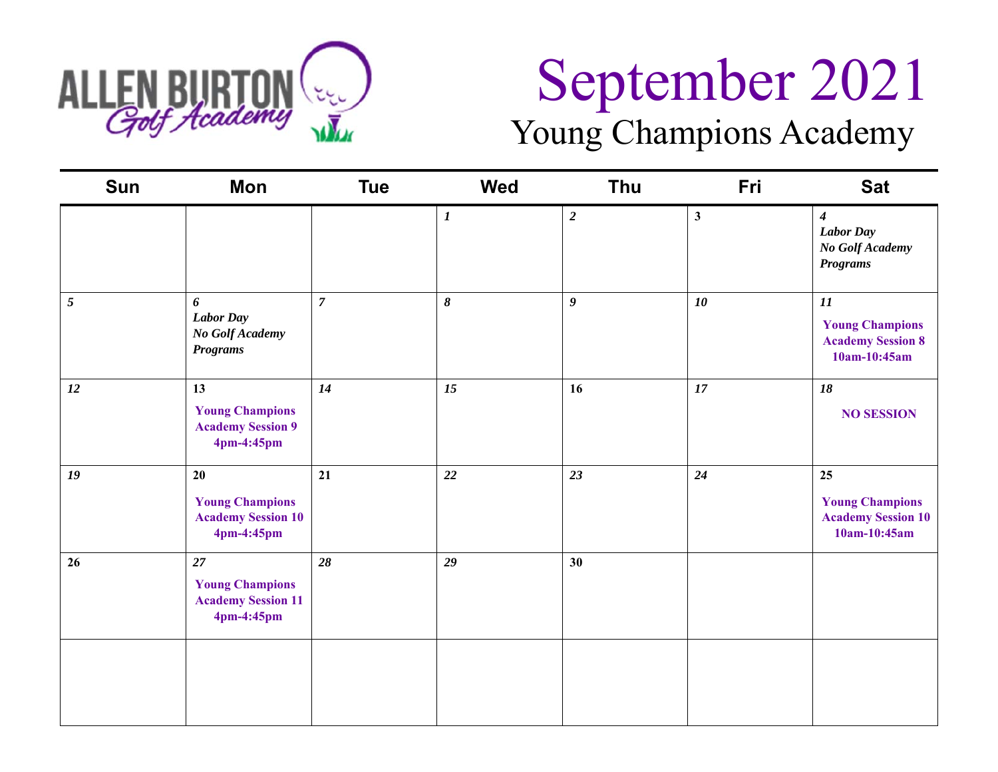

# September 2021 Young Champions Academy

| Sun            | Mon                                                                     | <b>Tue</b>     | <b>Wed</b>       | Thu            | Fri          | <b>Sat</b>                                                                 |
|----------------|-------------------------------------------------------------------------|----------------|------------------|----------------|--------------|----------------------------------------------------------------------------|
|                |                                                                         |                | $\boldsymbol{I}$ | $\overline{2}$ | $\mathbf{3}$ | $\boldsymbol{4}$<br><b>Labor Day</b><br>No Golf Academy<br><b>Programs</b> |
| $\mathfrak{F}$ | 6<br><b>Labor Day</b><br>No Golf Academy<br><b>Programs</b>             | $\overline{7}$ | 8                | 9              | 10           | 11<br><b>Young Champions</b><br><b>Academy Session 8</b><br>$10am-10:45am$ |
| 12             | 13<br><b>Young Champions</b><br><b>Academy Session 9</b><br>4pm-4:45pm  | 14             | 15               | 16             | 17           | 18<br><b>NO SESSION</b>                                                    |
| 19             | 20<br><b>Young Champions</b><br><b>Academy Session 10</b><br>4pm-4:45pm | 21             | 22               | 23             | 24           | 25<br><b>Young Champions</b><br><b>Academy Session 10</b><br>10am-10:45am  |
| 26             | 27<br><b>Young Champions</b><br><b>Academy Session 11</b><br>4pm-4:45pm | 28             | 29               | 30             |              |                                                                            |
|                |                                                                         |                |                  |                |              |                                                                            |